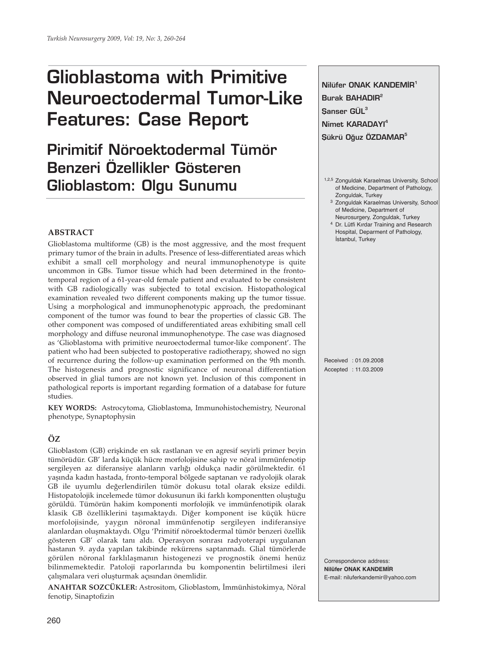# **Glioblastoma with Primitive Neuroectodermal Tumor-Like Features: Case Report**

# **Pirimitif Nöroektodermal Tümör Benzeri Özellikler Gösteren Glioblastom: Olgu Sunumu**

# **ABSTRACT**

Glioblastoma multiforme (GB) is the most aggressive, and the most frequent primary tumor of the brain in adults. Presence of less-differentiated areas which exhibit a small cell morphology and neural immunophenotype is quite uncommon in GBs. Tumor tissue which had been determined in the frontotemporal region of a 61-year-old female patient and evaluated to be consistent with GB radiologically was subjected to total excision. Histopathological examination revealed two different components making up the tumor tissue. Using a morphological and immunophenotypic approach, the predominant component of the tumor was found to bear the properties of classic GB. The other component was composed of undifferentiated areas exhibiting small cell morphology and diffuse neuronal immunophenotype. The case was diagnosed as 'Glioblastoma with primitive neuroectodermal tumor-like component'. The patient who had been subjected to postoperative radiotherapy, showed no sign of recurrence during the follow-up examination performed on the 9th month. The histogenesis and prognostic significance of neuronal differentiation observed in glial tumors are not known yet. Inclusion of this component in pathological reports is important regarding formation of a database for future studies.

**KEY WORDS:** Astrocytoma, Glioblastoma, Immunohistochemistry, Neuronal phenotype, Synaptophysin

# **ÖZ**

Glioblastom (GB) erişkinde en sık rastlanan ve en agresif seyirli primer beyin tümörüdür. GB' larda küçük hücre morfolojisine sahip ve nöral immünfenotip sergileyen az diferansiye alanların varlığı oldukça nadir görülmektedir. 61 yaşında kadın hastada, fronto-temporal bölgede saptanan ve radyolojik olarak GB ile uyumlu değerlendirilen tümör dokusu total olarak eksize edildi. Histopatolojik incelemede tümor dokusunun iki farklı komponentten oluştuğu görüldü. Tümörün hakim komponenti morfolojik ve immünfenotipik olarak klasik GB özelliklerini taşımaktaydı. Diğer komponent ise küçük hücre morfolojisinde, yaygın nöronal immünfenotip sergileyen indiferansiye alanlardan oluşmaktaydı. Olgu 'Primitif nöroektodermal tümör benzeri özellik gösteren GB' olarak tanı aldı. Operasyon sonrası radyoterapi uygulanan hastanın 9. ayda yapılan takibinde rekürrens saptanmadı. Glial tümörlerde görülen nöronal farklılaşmanın histogenezi ve prognostik önemi henüz bilinmemektedir. Patoloji raporlarında bu komponentin belirtilmesi ileri çalışmalara veri oluşturmak açısından önemlidir.

**ANAHTAR SOZCÜKLER:** Astrositom, Glioblastom, İmmünhistokimya, Nöral fenotip, Sinaptofizin

**Nilüfer ONAK KANDEMİR<sup>1</sup> Burak BAHADIR2 fianser GÜL3 Nimet KARADAYI4 Sükrü Oğuz ÖZDAMAR<sup>5</sup>** 

- 1,2,5 Zonguldak Karaelmas University, School of Medicine, Department of Pathology, Zonguldak, Turkey
	- 3 Zonguldak Karaelmas University, School of Medicine, Department of
- Neurosurgery, Zonguldak, Turkey 4 Dr. Lütfi Kırdar Training and Research
	- Hospital, Deparment of Pathology, İstanbul, Turkey

Received : 01.09.2008 Accepted : 11.03.2009

Correspondence address: **Nilüfer ONAK KANDEMİR** E-mail: niluferkandemir@yahoo.com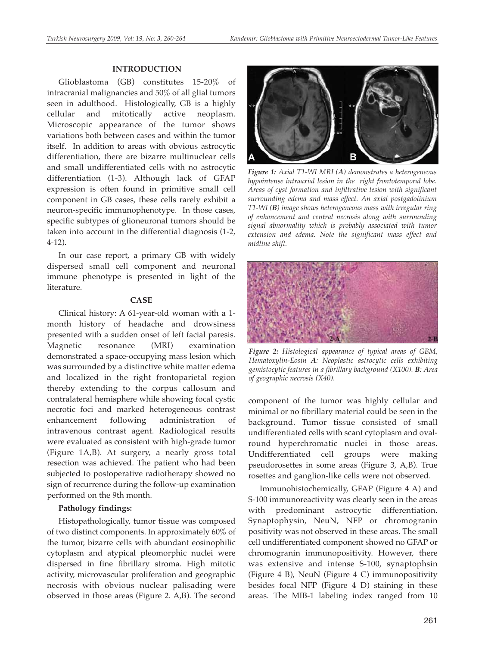#### **INTRODUCTION**

Glioblastoma (GB) constitutes 15-20% of intracranial malignancies and 50% of all glial tumors seen in adulthood. Histologically, GB is a highly cellular and mitotically active neoplasm. Microscopic appearance of the tumor shows variations both between cases and within the tumor itself. In addition to areas with obvious astrocytic differentiation, there are bizarre multinuclear cells and small undifferentiated cells with no astrocytic differentiation (1-3). Although lack of GFAP expression is often found in primitive small cell component in GB cases, these cells rarely exhibit a neuron-specific immunophenotype. In those cases, specific subtypes of glioneuronal tumors should be taken into account in the differential diagnosis (1-2, 4-12).

In our case report, a primary GB with widely dispersed small cell component and neuronal immune phenotype is presented in light of the literature.

# **CASE**

Clinical history: A 61-year-old woman with a 1 month history of headache and drowsiness presented with a sudden onset of left facial paresis. Magnetic resonance (MRI) examination demonstrated a space-occupying mass lesion which was surrounded by a distinctive white matter edema and localized in the right frontoparietal region thereby extending to the corpus callosum and contralateral hemisphere while showing focal cystic necrotic foci and marked heterogeneous contrast enhancement following administration of intravenous contrast agent. Radiological results were evaluated as consistent with high-grade tumor (Figure 1A,B). At surgery, a nearly gross total resection was achieved. The patient who had been subjected to postoperative radiotherapy showed no sign of recurrence during the follow-up examination performed on the 9th month.

### **Pathology findings:**

Histopathologically, tumor tissue was composed of two distinct components. In approximately 60% of the tumor, bizarre cells with abundant eosinophilic cytoplasm and atypical pleomorphic nuclei were dispersed in fine fibrillary stroma. High mitotic activity, microvascular proliferation and geographic necrosis with obvious nuclear palisading were observed in those areas (Figure 2. A,B). The second



*Figure 1: Axial T1-WI MRI (A) demonstrates a heterogeneous hypointense intraaxial lesion in the right frontotemporal lobe. Areas of cyst formation and infiltrative lesion with significant surrounding edema and mass effect. An axial postgadolinium T1-WI (B) image shows heterogeneous mass with irregular ring of enhancement and central necrosis along with surrounding signal abnormality which is probably associated with tumor extension and edema. Note the significant mass effect and midline shift.* 



*Figure 2: Histological appearance of typical areas of GBM, Hematoxylin-Eosin A: Neoplastic astrocytic cells exhibiting gemistocytic features in a fibrillary background (X100). B: Area of geographic necrosis (X40).*

component of the tumor was highly cellular and minimal or no fibrillary material could be seen in the background. Tumor tissue consisted of small undifferentiated cells with scant cytoplasm and ovalround hyperchromatic nuclei in those areas. Undifferentiated cell groups were making pseudorosettes in some areas (Figure 3, A,B). True rosettes and ganglion-like cells were not observed.

Immunohistochemically, GFAP (Figure 4 A) and S-100 immunoreactivity was clearly seen in the areas with predominant astrocytic differentiation. Synaptophysin, NeuN, NFP or chromogranin positivity was not observed in these areas. The small cell undifferentiated component showed no GFAP or chromogranin immunopositivity. However, there was extensive and intense S-100, synaptophsin (Figure 4 B), NeuN (Figure 4 C) immunopositivity besides focal NFP (Figure 4 D) staining in these areas. The MIB-1 labeling index ranged from 10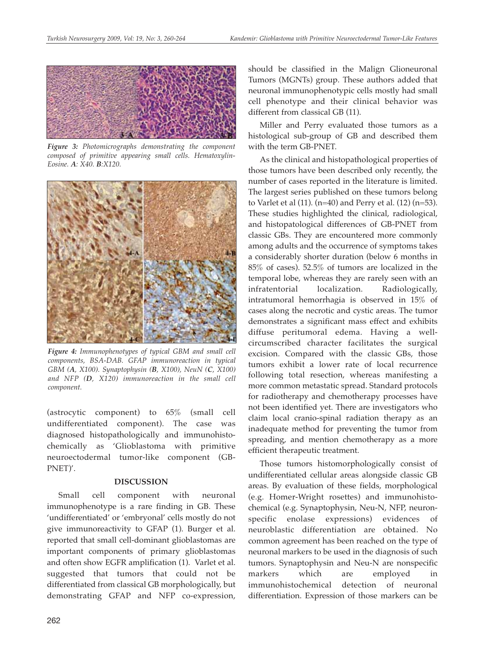

*Figure 3: Photomicrographs demonstrating the component composed of primitive appearing small cells. Hematoxylin-Eosine. A: X40. B:X120.*



*Figure 4: Immunophenotypes of typical GBM and small cell components, BSA-DAB. GFAP immunoreaction in typical GBM (A, X100). Synaptophysin (B, X100), NeuN (C, X100) and NFP (D, X120) immunoreaction in the small cell component.*

(astrocytic component) to 65% (small cell undifferentiated component). The case was diagnosed histopathologically and immunohistochemically as 'Glioblastoma with primitive neuroectodermal tumor-like component (GB-PNET)'.

#### **DISCUSSION**

Small cell component with neuronal immunophenotype is a rare finding in GB. These 'undifferentiated' or 'embryonal' cells mostly do not give immunoreactivity to GFAP (1). Burger et al. reported that small cell-dominant glioblastomas are important components of primary glioblastomas and often show EGFR amplification (1). Varlet et al. suggested that tumors that could not be differentiated from classical GB morphologically, but demonstrating GFAP and NFP co-expression,

should be classified in the Malign Glioneuronal Tumors (MGNTs) group. These authors added that neuronal immunophenotypic cells mostly had small cell phenotype and their clinical behavior was different from classical GB (11).

Miller and Perry evaluated those tumors as a histological sub-group of GB and described them with the term GB-PNET.

As the clinical and histopathological properties of those tumors have been described only recently, the number of cases reported in the literature is limited. The largest series published on these tumors belong to Varlet et al  $(11)$ .  $(n=40)$  and Perry et al.  $(12)$   $(n=53)$ . These studies highlighted the clinical, radiological, and histopatological differences of GB-PNET from classic GBs. They are encountered more commonly among adults and the occurrence of symptoms takes a considerably shorter duration (below 6 months in 85% of cases). 52.5% of tumors are localized in the temporal lobe, whereas they are rarely seen with an infratentorial localization. Radiologically, intratumoral hemorrhagia is observed in 15% of cases along the necrotic and cystic areas. The tumor demonstrates a significant mass effect and exhibits diffuse peritumoral edema. Having a wellcircumscribed character facilitates the surgical excision. Compared with the classic GBs, those tumors exhibit a lower rate of local recurrence following total resection, whereas manifesting a more common metastatic spread. Standard protocols for radiotherapy and chemotherapy processes have not been identified yet. There are investigators who claim local cranio-spinal radiation therapy as an inadequate method for preventing the tumor from spreading, and mention chemotherapy as a more efficient therapeutic treatment.

Those tumors histomorphologically consist of undifferentiated cellular areas alongside classic GB areas. By evaluation of these fields, morphological (e.g. Homer-Wright rosettes) and immunohistochemical (e.g. Synaptophysin, Neu-N, NFP, neuronspecific enolase expressions) evidences of neuroblastic differentiation are obtained. No common agreement has been reached on the type of neuronal markers to be used in the diagnosis of such tumors. Synaptophysin and Neu-N are nonspecific markers which are employed in immunohistochemical detection of neuronal differentiation. Expression of those markers can be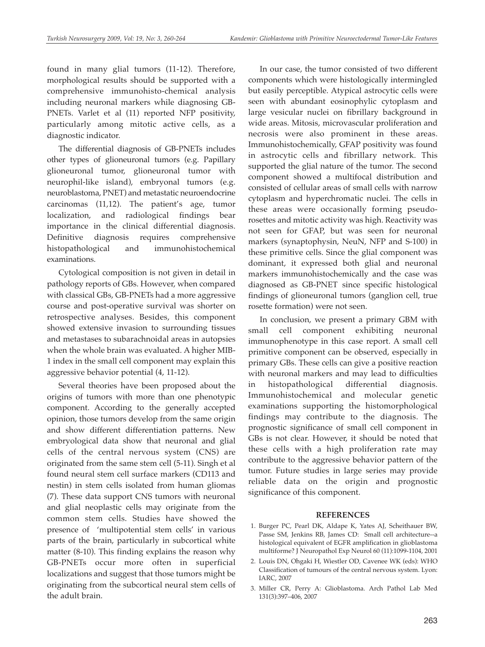found in many glial tumors (11-12). Therefore, morphological results should be supported with a comprehensive immunohisto-chemical analysis including neuronal markers while diagnosing GB-PNETs. Varlet et al (11) reported NFP positivity, particularly among mitotic active cells, as a diagnostic indicator.

The differential diagnosis of GB-PNETs includes other types of glioneuronal tumors (e.g. Papillary glioneuronal tumor, glioneuronal tumor with neurophil-like island), embryonal tumors (e.g. neuroblastoma, PNET) and metastatic neuroendocrine carcinomas (11,12). The patient's age, tumor localization, and radiological findings bear importance in the clinical differential diagnosis. Definitive diagnosis requires comprehensive histopathological and immunohistochemical examinations.

Cytological composition is not given in detail in pathology reports of GBs. However, when compared with classical GBs, GB-PNETs had a more aggressive course and post-operative survival was shorter on retrospective analyses. Besides, this component showed extensive invasion to surrounding tissues and metastases to subarachnoidal areas in autopsies when the whole brain was evaluated. A higher MIB-1 index in the small cell component may explain this aggressive behavior potential (4, 11-12).

Several theories have been proposed about the origins of tumors with more than one phenotypic component. According to the generally accepted opinion, those tumors develop from the same origin and show different differentiation patterns. New embryological data show that neuronal and glial cells of the central nervous system (CNS) are originated from the same stem cell (5-11). Singh et al found neural stem cell surface markers (CD113 and nestin) in stem cells isolated from human gliomas (7). These data support CNS tumors with neuronal and glial neoplastic cells may originate from the common stem cells. Studies have showed the presence of 'multipotential stem cells' in various parts of the brain, particularly in subcortical white matter (8-10). This finding explains the reason why GB-PNETs occur more often in superficial localizations and suggest that those tumors might be originating from the subcortical neural stem cells of the adult brain.

In our case, the tumor consisted of two different components which were histologically intermingled but easily perceptible. Atypical astrocytic cells were seen with abundant eosinophylic cytoplasm and large vesicular nuclei on fibrillary background in wide areas. Mitosis, microvascular proliferation and necrosis were also prominent in these areas. Immunohistochemically, GFAP positivity was found in astrocytic cells and fibrillary network. This supported the glial nature of the tumor. The second component showed a multifocal distribution and consisted of cellular areas of small cells with narrow cytoplasm and hyperchromatic nuclei. The cells in these areas were occasionally forming pseudorosettes and mitotic activity was high. Reactivity was not seen for GFAP, but was seen for neuronal markers (synaptophysin, NeuN, NFP and S-100) in these primitive cells. Since the glial component was dominant, it expressed both glial and neuronal markers immunohistochemically and the case was diagnosed as GB-PNET since specific histological findings of glioneuronal tumors (ganglion cell, true rosette formation) were not seen.

In conclusion, we present a primary GBM with small cell component exhibiting neuronal immunophenotype in this case report. A small cell primitive component can be observed, especially in primary GBs. These cells can give a positive reaction with neuronal markers and may lead to difficulties in histopathological differential diagnosis. Immunohistochemical and molecular genetic examinations supporting the histomorphological findings may contribute to the diagnosis. The prognostic significance of small cell component in GBs is not clear. However, it should be noted that these cells with a high proliferation rate may contribute to the aggressive behavior pattern of the tumor. Future studies in large series may provide reliable data on the origin and prognostic significance of this component.

# **REFERENCES**

- 1. Burger PC, Pearl DK, Aldape K, Yates AJ, Scheithauer BW, Passe SM, Jenkins RB, James CD: Small cell architecture--a histological equivalent of EGFR amplification in glioblastoma multiforme? J Neuropathol Exp Neurol 60 (11):1099-1104, 2001
- 2. Louis DN, Ohgaki H, Wiestler OD, Cavenee WK (eds): WHO Classification of tumours of the central nervous system. Lyon: IARC, 2007
- 3. Miller CR, Perry A: Glioblastoma. Arch Pathol Lab Med 131(3):397–406, 2007